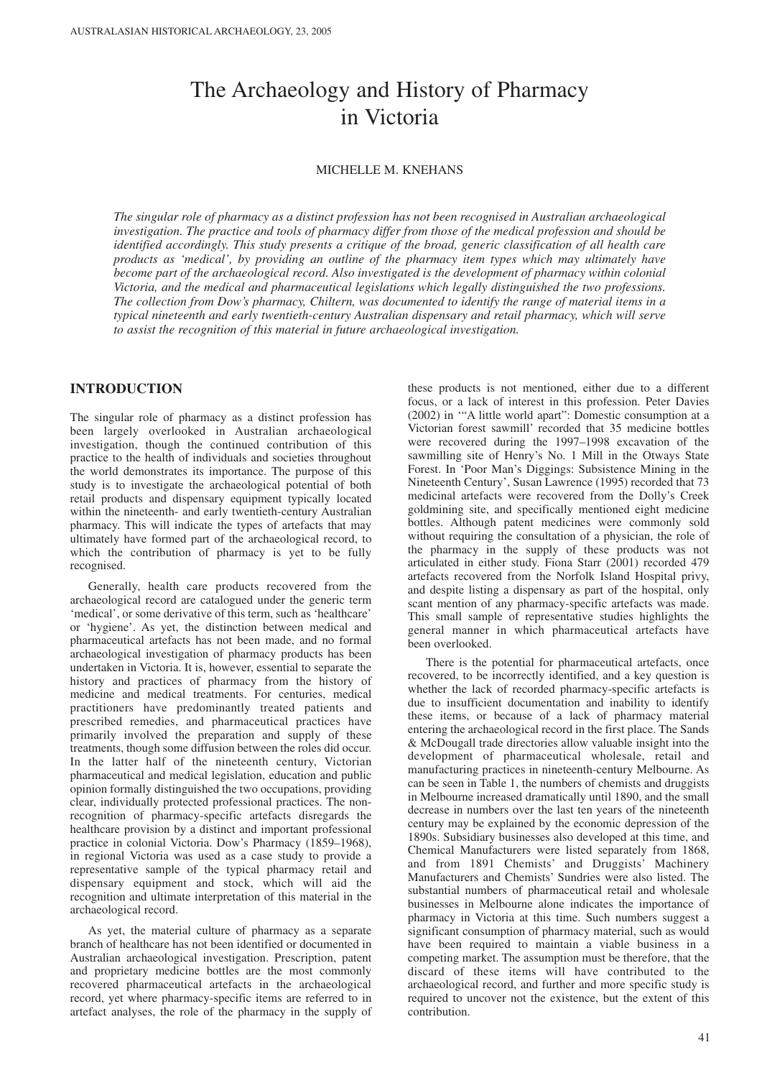# The Archaeology and History of Pharmacy in Victoria

#### MICHELLE M. KNEHANS

*The singular role of pharmacy as a distinct profession has not been recognised in Australian archaeological investigation. The practice and tools of pharmacy differ from those of the medical profession and should be identified accordingly. This study presents a critique of the broad, generic classification of all health care products as 'medical', by providing an outline of the pharmacy item types which may ultimately have become part of the archaeological record. Also investigated is the development of pharmacy within colonial Victoria, and the medical and pharmaceutical legislations which legally distinguished the two professions. The collection from Dow's pharmacy, Chiltern, was documented to identify the range of material items in a typical nineteenth and early twentieth-century Australian dispensary and retail pharmacy, which will serve to assist the recognition of this material in future archaeological investigation.*

# **INTRODUCTION**

The singular role of pharmacy as a distinct profession has been largely overlooked in Australian archaeological investigation, though the continued contribution of this practice to the health of individuals and societies throughout the world demonstrates its importance. The purpose of this study is to investigate the archaeological potential of both retail products and dispensary equipment typically located within the nineteenth- and early twentieth-century Australian pharmacy. This will indicate the types of artefacts that may ultimately have formed part of the archaeological record, to which the contribution of pharmacy is yet to be fully recognised.

Generally, health care products recovered from the archaeological record are catalogued under the generic term 'medical', or some derivative of this term, such as 'healthcare' or 'hygiene'. As yet, the distinction between medical and pharmaceutical artefacts has not been made, and no formal archaeological investigation of pharmacy products has been undertaken in Victoria. It is, however, essential to separate the history and practices of pharmacy from the history of medicine and medical treatments. For centuries, medical practitioners have predominantly treated patients and prescribed remedies, and pharmaceutical practices have primarily involved the preparation and supply of these treatments, though some diffusion between the roles did occur. In the latter half of the nineteenth century, Victorian pharmaceutical and medical legislation, education and public opinion formally distinguished the two occupations, providing clear, individually protected professional practices. The nonrecognition of pharmacy-specific artefacts disregards the healthcare provision by a distinct and important professional practice in colonial Victoria. Dow's Pharmacy (1859–1968), in regional Victoria was used as a case study to provide a representative sample of the typical pharmacy retail and dispensary equipment and stock, which will aid the recognition and ultimate interpretation of this material in the archaeological record.

As yet, the material culture of pharmacy as a separate branch of healthcare has not been identified or documented in Australian archaeological investigation. Prescription, patent and proprietary medicine bottles are the most commonly recovered pharmaceutical artefacts in the archaeological record, yet where pharmacy-specific items are referred to in artefact analyses, the role of the pharmacy in the supply of

these products is not mentioned, either due to a different focus, or a lack of interest in this profession. Peter Davies (2002) in '"A little world apart": Domestic consumption at a Victorian forest sawmill' recorded that 35 medicine bottles were recovered during the 1997–1998 excavation of the sawmilling site of Henry's No. 1 Mill in the Otways State Forest. In 'Poor Man's Diggings: Subsistence Mining in the Nineteenth Century', Susan Lawrence (1995) recorded that 73 medicinal artefacts were recovered from the Dolly's Creek goldmining site, and specifically mentioned eight medicine bottles. Although patent medicines were commonly sold without requiring the consultation of a physician, the role of the pharmacy in the supply of these products was not articulated in either study. Fiona Starr (2001) recorded 479 artefacts recovered from the Norfolk Island Hospital privy, and despite listing a dispensary as part of the hospital, only scant mention of any pharmacy-specific artefacts was made. This small sample of representative studies highlights the general manner in which pharmaceutical artefacts have been overlooked.

There is the potential for pharmaceutical artefacts, once recovered, to be incorrectly identified, and a key question is whether the lack of recorded pharmacy-specific artefacts is due to insufficient documentation and inability to identify these items, or because of a lack of pharmacy material entering the archaeological record in the first place. The Sands & McDougall trade directories allow valuable insight into the development of pharmaceutical wholesale, retail and manufacturing practices in nineteenth-century Melbourne. As can be seen in Table 1, the numbers of chemists and druggists in Melbourne increased dramatically until 1890, and the small decrease in numbers over the last ten years of the nineteenth century may be explained by the economic depression of the 1890s. Subsidiary businesses also developed at this time, and Chemical Manufacturers were listed separately from 1868, and from 1891 Chemists' and Druggists' Machinery Manufacturers and Chemists' Sundries were also listed. The substantial numbers of pharmaceutical retail and wholesale businesses in Melbourne alone indicates the importance of pharmacy in Victoria at this time. Such numbers suggest a significant consumption of pharmacy material, such as would have been required to maintain a viable business in a competing market. The assumption must be therefore, that the discard of these items will have contributed to the archaeological record, and further and more specific study is required to uncover not the existence, but the extent of this contribution.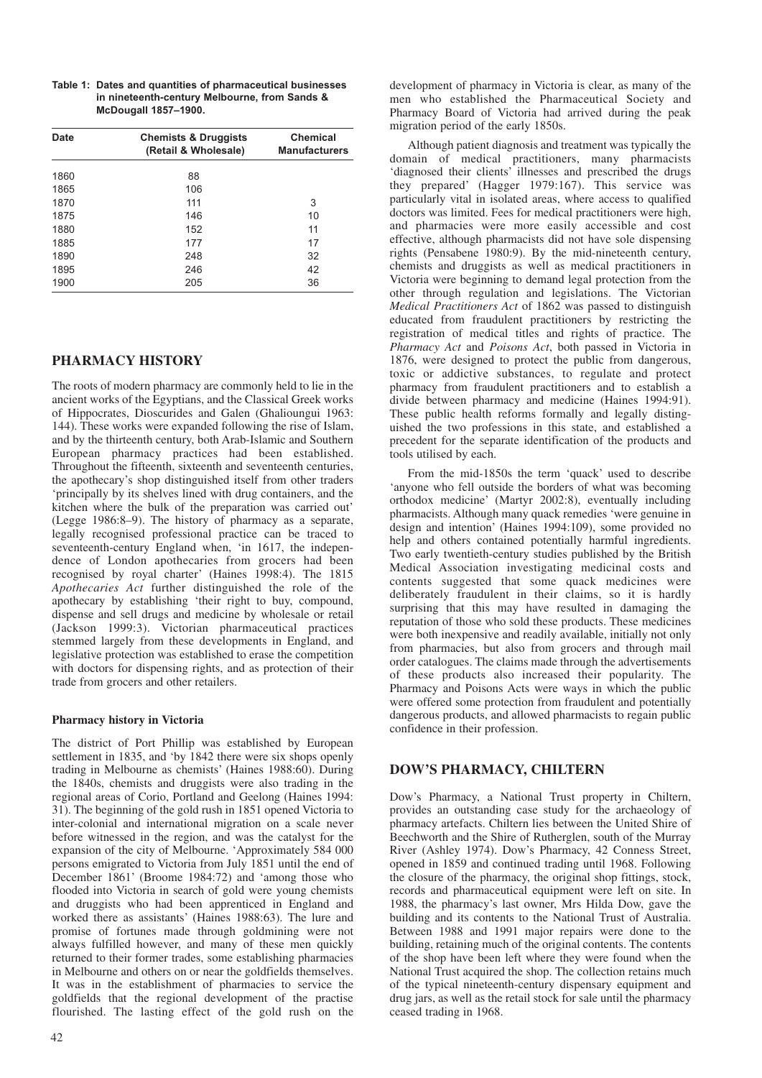| Table 1: Dates and quantities of pharmaceutical businesses |
|------------------------------------------------------------|
| in nineteenth-century Melbourne, from Sands &              |
| <b>McDougall 1857-1900.</b>                                |

| <b>Date</b> | <b>Chemists &amp; Druggists</b><br>(Retail & Wholesale) | Chemical<br><b>Manufacturers</b> |
|-------------|---------------------------------------------------------|----------------------------------|
| 1860        | 88                                                      |                                  |
| 1865        | 106                                                     |                                  |
| 1870        | 111                                                     | 3                                |
| 1875        | 146                                                     | 10                               |
| 1880        | 152                                                     | 11                               |
| 1885        | 177                                                     | 17                               |
| 1890        | 248                                                     | 32                               |
| 1895        | 246                                                     | 42                               |
| 1900        | 205                                                     | 36                               |

# **PHARMACY HISTORY**

The roots of modern pharmacy are commonly held to lie in the ancient works of the Egyptians, and the Classical Greek works of Hippocrates, Dioscurides and Galen (Ghalioungui 1963: 144). These works were expanded following the rise of Islam, and by the thirteenth century, both Arab-Islamic and Southern European pharmacy practices had been established. Throughout the fifteenth, sixteenth and seventeenth centuries, the apothecary's shop distinguished itself from other traders 'principally by its shelves lined with drug containers, and the kitchen where the bulk of the preparation was carried out' (Legge 1986:8–9). The history of pharmacy as a separate, legally recognised professional practice can be traced to seventeenth-century England when, 'in 1617, the independence of London apothecaries from grocers had been recognised by royal charter' (Haines 1998:4). The 1815 *Apothecaries Act* further distinguished the role of the apothecary by establishing 'their right to buy, compound, dispense and sell drugs and medicine by wholesale or retail (Jackson 1999:3). Victorian pharmaceutical practices stemmed largely from these developments in England, and legislative protection was established to erase the competition with doctors for dispensing rights, and as protection of their trade from grocers and other retailers.

### **Pharmacy history in Victoria**

The district of Port Phillip was established by European settlement in 1835, and 'by 1842 there were six shops openly trading in Melbourne as chemists' (Haines 1988:60). During the 1840s, chemists and druggists were also trading in the regional areas of Corio, Portland and Geelong (Haines 1994: 31). The beginning of the gold rush in 1851 opened Victoria to inter-colonial and international migration on a scale never before witnessed in the region, and was the catalyst for the expansion of the city of Melbourne. 'Approximately 584 000 persons emigrated to Victoria from July 1851 until the end of December 1861' (Broome 1984:72) and 'among those who flooded into Victoria in search of gold were young chemists and druggists who had been apprenticed in England and worked there as assistants' (Haines 1988:63). The lure and promise of fortunes made through goldmining were not always fulfilled however, and many of these men quickly returned to their former trades, some establishing pharmacies in Melbourne and others on or near the goldfields themselves. It was in the establishment of pharmacies to service the goldfields that the regional development of the practise flourished. The lasting effect of the gold rush on the development of pharmacy in Victoria is clear, as many of the men who established the Pharmaceutical Society and Pharmacy Board of Victoria had arrived during the peak migration period of the early 1850s.

Although patient diagnosis and treatment was typically the domain of medical practitioners, many pharmacists 'diagnosed their clients' illnesses and prescribed the drugs they prepared' (Hagger 1979:167). This service was particularly vital in isolated areas, where access to qualified doctors was limited. Fees for medical practitioners were high, and pharmacies were more easily accessible and cost effective, although pharmacists did not have sole dispensing rights (Pensabene 1980:9). By the mid-nineteenth century, chemists and druggists as well as medical practitioners in Victoria were beginning to demand legal protection from the other through regulation and legislations. The Victorian *Medical Practitioners Act* of 1862 was passed to distinguish educated from fraudulent practitioners by restricting the registration of medical titles and rights of practice. The *Pharmacy Act* and *Poisons Act*, both passed in Victoria in 1876, were designed to protect the public from dangerous, toxic or addictive substances, to regulate and protect pharmacy from fraudulent practitioners and to establish a divide between pharmacy and medicine (Haines 1994:91). These public health reforms formally and legally distinguished the two professions in this state, and established a precedent for the separate identification of the products and tools utilised by each.

From the mid-1850s the term 'quack' used to describe 'anyone who fell outside the borders of what was becoming orthodox medicine' (Martyr 2002:8), eventually including pharmacists. Although many quack remedies 'were genuine in design and intention' (Haines 1994:109), some provided no help and others contained potentially harmful ingredients. Two early twentieth-century studies published by the British Medical Association investigating medicinal costs and contents suggested that some quack medicines were deliberately fraudulent in their claims, so it is hardly surprising that this may have resulted in damaging the reputation of those who sold these products. These medicines were both inexpensive and readily available, initially not only from pharmacies, but also from grocers and through mail order catalogues. The claims made through the advertisements of these products also increased their popularity. The Pharmacy and Poisons Acts were ways in which the public were offered some protection from fraudulent and potentially dangerous products, and allowed pharmacists to regain public confidence in their profession.

## **DOW'S PHARMACY, CHILTERN**

Dow's Pharmacy, a National Trust property in Chiltern, provides an outstanding case study for the archaeology of pharmacy artefacts. Chiltern lies between the United Shire of Beechworth and the Shire of Rutherglen, south of the Murray River (Ashley 1974). Dow's Pharmacy, 42 Conness Street, opened in 1859 and continued trading until 1968. Following the closure of the pharmacy, the original shop fittings, stock, records and pharmaceutical equipment were left on site. In 1988, the pharmacy's last owner, Mrs Hilda Dow, gave the building and its contents to the National Trust of Australia. Between 1988 and 1991 major repairs were done to the building, retaining much of the original contents. The contents of the shop have been left where they were found when the National Trust acquired the shop. The collection retains much of the typical nineteenth-century dispensary equipment and drug jars, as well as the retail stock for sale until the pharmacy ceased trading in 1968.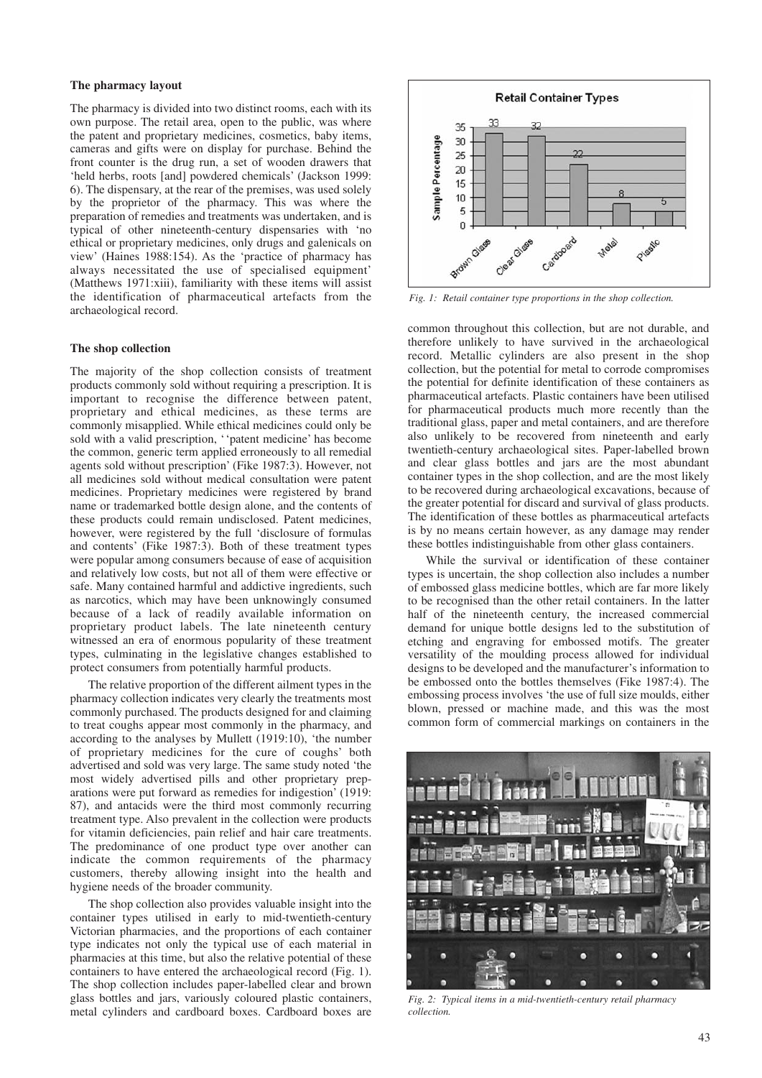#### **The pharmacy layout**

The pharmacy is divided into two distinct rooms, each with its own purpose. The retail area, open to the public, was where the patent and proprietary medicines, cosmetics, baby items, cameras and gifts were on display for purchase. Behind the front counter is the drug run, a set of wooden drawers that 'held herbs, roots [and] powdered chemicals' (Jackson 1999: 6). The dispensary, at the rear of the premises, was used solely by the proprietor of the pharmacy. This was where the preparation of remedies and treatments was undertaken, and is typical of other nineteenth-century dispensaries with 'no ethical or proprietary medicines, only drugs and galenicals on view' (Haines 1988:154). As the 'practice of pharmacy has always necessitated the use of specialised equipment' (Matthews 1971:xiii), familiarity with these items will assist the identification of pharmaceutical artefacts from the archaeological record.

#### **The shop collection**

The majority of the shop collection consists of treatment products commonly sold without requiring a prescription. It is important to recognise the difference between patent, proprietary and ethical medicines, as these terms are commonly misapplied. While ethical medicines could only be sold with a valid prescription, ''patent medicine' has become the common, generic term applied erroneously to all remedial agents sold without prescription' (Fike 1987:3). However, not all medicines sold without medical consultation were patent medicines. Proprietary medicines were registered by brand name or trademarked bottle design alone, and the contents of these products could remain undisclosed. Patent medicines, however, were registered by the full 'disclosure of formulas and contents' (Fike 1987:3). Both of these treatment types were popular among consumers because of ease of acquisition and relatively low costs, but not all of them were effective or safe. Many contained harmful and addictive ingredients, such as narcotics, which may have been unknowingly consumed because of a lack of readily available information on proprietary product labels. The late nineteenth century witnessed an era of enormous popularity of these treatment types, culminating in the legislative changes established to protect consumers from potentially harmful products.

The relative proportion of the different ailment types in the pharmacy collection indicates very clearly the treatments most commonly purchased. The products designed for and claiming to treat coughs appear most commonly in the pharmacy, and according to the analyses by Mullett (1919:10), 'the number of proprietary medicines for the cure of coughs' both advertised and sold was very large. The same study noted 'the most widely advertised pills and other proprietary preparations were put forward as remedies for indigestion' (1919: 87), and antacids were the third most commonly recurring treatment type. Also prevalent in the collection were products for vitamin deficiencies, pain relief and hair care treatments. The predominance of one product type over another can indicate the common requirements of the pharmacy customers, thereby allowing insight into the health and hygiene needs of the broader community.

The shop collection also provides valuable insight into the container types utilised in early to mid-twentieth-century Victorian pharmacies, and the proportions of each container type indicates not only the typical use of each material in pharmacies at this time, but also the relative potential of these containers to have entered the archaeological record (Fig. 1). The shop collection includes paper-labelled clear and brown glass bottles and jars, variously coloured plastic containers, metal cylinders and cardboard boxes. Cardboard boxes are



*Fig. 1: Retail container type proportions in the shop collection.*

common throughout this collection, but are not durable, and therefore unlikely to have survived in the archaeological record. Metallic cylinders are also present in the shop collection, but the potential for metal to corrode compromises the potential for definite identification of these containers as pharmaceutical artefacts. Plastic containers have been utilised for pharmaceutical products much more recently than the traditional glass, paper and metal containers, and are therefore also unlikely to be recovered from nineteenth and early twentieth-century archaeological sites. Paper-labelled brown and clear glass bottles and jars are the most abundant container types in the shop collection, and are the most likely to be recovered during archaeological excavations, because of the greater potential for discard and survival of glass products. The identification of these bottles as pharmaceutical artefacts is by no means certain however, as any damage may render these bottles indistinguishable from other glass containers.

While the survival or identification of these container types is uncertain, the shop collection also includes a number of embossed glass medicine bottles, which are far more likely to be recognised than the other retail containers. In the latter half of the nineteenth century, the increased commercial demand for unique bottle designs led to the substitution of etching and engraving for embossed motifs. The greater versatility of the moulding process allowed for individual designs to be developed and the manufacturer's information to be embossed onto the bottles themselves (Fike 1987:4). The embossing process involves 'the use of full size moulds, either blown, pressed or machine made, and this was the most common form of commercial markings on containers in the



*Fig. 2: Typical items in a mid-twentieth-century retail pharmacy collection.*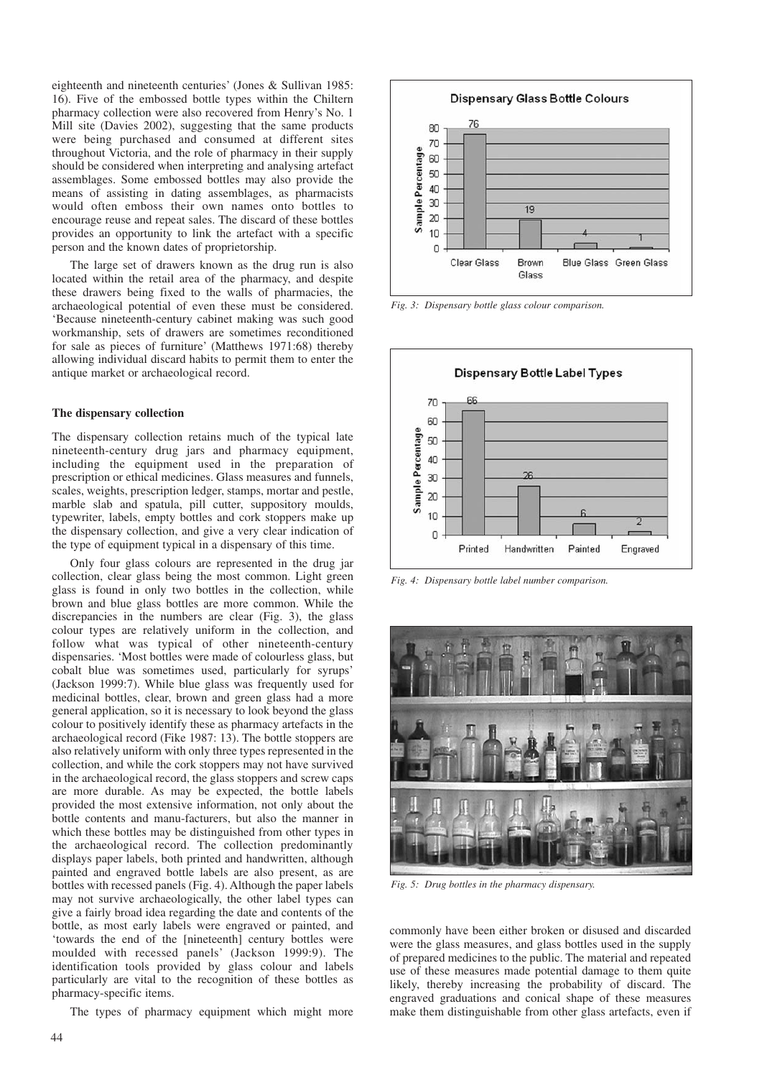eighteenth and nineteenth centuries' (Jones & Sullivan 1985: 16). Five of the embossed bottle types within the Chiltern pharmacy collection were also recovered from Henry's No. 1 Mill site (Davies 2002), suggesting that the same products were being purchased and consumed at different sites throughout Victoria, and the role of pharmacy in their supply should be considered when interpreting and analysing artefact assemblages. Some embossed bottles may also provide the means of assisting in dating assemblages, as pharmacists would often emboss their own names onto bottles to encourage reuse and repeat sales. The discard of these bottles provides an opportunity to link the artefact with a specific person and the known dates of proprietorship.

The large set of drawers known as the drug run is also located within the retail area of the pharmacy, and despite these drawers being fixed to the walls of pharmacies, the archaeological potential of even these must be considered. 'Because nineteenth-century cabinet making was such good workmanship, sets of drawers are sometimes reconditioned for sale as pieces of furniture' (Matthews 1971:68) thereby allowing individual discard habits to permit them to enter the antique market or archaeological record.

#### **The dispensary collection**

The dispensary collection retains much of the typical late nineteenth-century drug jars and pharmacy equipment, including the equipment used in the preparation of prescription or ethical medicines. Glass measures and funnels, scales, weights, prescription ledger, stamps, mortar and pestle, marble slab and spatula, pill cutter, suppository moulds, typewriter, labels, empty bottles and cork stoppers make up the dispensary collection, and give a very clear indication of the type of equipment typical in a dispensary of this time.

Only four glass colours are represented in the drug jar collection, clear glass being the most common. Light green glass is found in only two bottles in the collection, while brown and blue glass bottles are more common. While the discrepancies in the numbers are clear (Fig. 3), the glass colour types are relatively uniform in the collection, and follow what was typical of other nineteenth-century dispensaries. 'Most bottles were made of colourless glass, but cobalt blue was sometimes used, particularly for syrups' (Jackson 1999:7). While blue glass was frequently used for medicinal bottles, clear, brown and green glass had a more general application, so it is necessary to look beyond the glass colour to positively identify these as pharmacy artefacts in the archaeological record (Fike 1987: 13). The bottle stoppers are also relatively uniform with only three types represented in the collection, and while the cork stoppers may not have survived in the archaeological record, the glass stoppers and screw caps are more durable. As may be expected, the bottle labels provided the most extensive information, not only about the bottle contents and manu-facturers, but also the manner in which these bottles may be distinguished from other types in the archaeological record. The collection predominantly displays paper labels, both printed and handwritten, although painted and engraved bottle labels are also present, as are bottles with recessed panels (Fig. 4). Although the paper labels may not survive archaeologically, the other label types can give a fairly broad idea regarding the date and contents of the bottle, as most early labels were engraved or painted, and 'towards the end of the [nineteenth] century bottles were moulded with recessed panels' (Jackson 1999:9). The identification tools provided by glass colour and labels particularly are vital to the recognition of these bottles as pharmacy-specific items.

The types of pharmacy equipment which might more



*Fig. 3: Dispensary bottle glass colour comparison.*



*Fig. 4: Dispensary bottle label number comparison.*



*Fig. 5: Drug bottles in the pharmacy dispensary.*

commonly have been either broken or disused and discarded were the glass measures, and glass bottles used in the supply of prepared medicines to the public. The material and repeated use of these measures made potential damage to them quite likely, thereby increasing the probability of discard. The engraved graduations and conical shape of these measures make them distinguishable from other glass artefacts, even if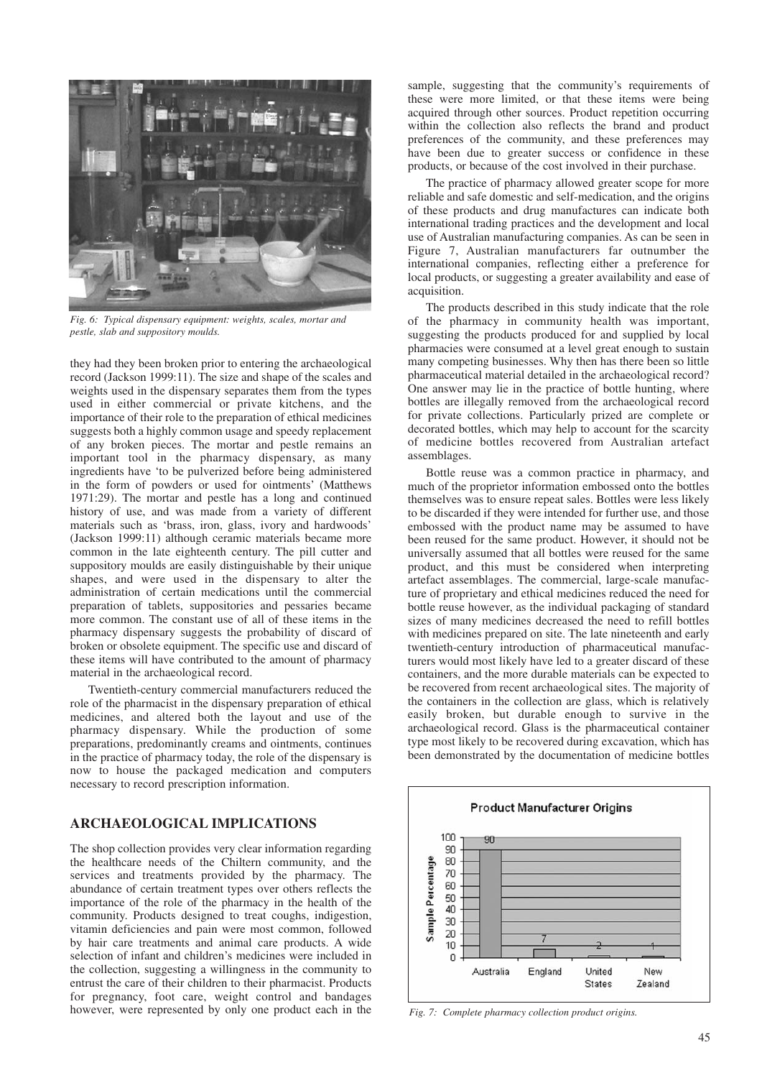

*Fig. 6: Typical dispensary equipment: weights, scales, mortar and pestle, slab and suppository moulds.*

they had they been broken prior to entering the archaeological record (Jackson 1999:11). The size and shape of the scales and weights used in the dispensary separates them from the types used in either commercial or private kitchens, and the importance of their role to the preparation of ethical medicines suggests both a highly common usage and speedy replacement of any broken pieces. The mortar and pestle remains an important tool in the pharmacy dispensary, as many ingredients have 'to be pulverized before being administered in the form of powders or used for ointments' (Matthews 1971:29). The mortar and pestle has a long and continued history of use, and was made from a variety of different materials such as 'brass, iron, glass, ivory and hardwoods' (Jackson 1999:11) although ceramic materials became more common in the late eighteenth century. The pill cutter and suppository moulds are easily distinguishable by their unique shapes, and were used in the dispensary to alter the administration of certain medications until the commercial preparation of tablets, suppositories and pessaries became more common. The constant use of all of these items in the pharmacy dispensary suggests the probability of discard of broken or obsolete equipment. The specific use and discard of these items will have contributed to the amount of pharmacy material in the archaeological record.

Twentieth-century commercial manufacturers reduced the role of the pharmacist in the dispensary preparation of ethical medicines, and altered both the layout and use of the pharmacy dispensary. While the production of some preparations, predominantly creams and ointments, continues in the practice of pharmacy today, the role of the dispensary is now to house the packaged medication and computers necessary to record prescription information.

# **ARCHAEOLOGICAL IMPLICATIONS**

The shop collection provides very clear information regarding the healthcare needs of the Chiltern community, and the services and treatments provided by the pharmacy. The abundance of certain treatment types over others reflects the importance of the role of the pharmacy in the health of the community. Products designed to treat coughs, indigestion, vitamin deficiencies and pain were most common, followed by hair care treatments and animal care products. A wide selection of infant and children's medicines were included in the collection, suggesting a willingness in the community to entrust the care of their children to their pharmacist. Products for pregnancy, foot care, weight control and bandages however, were represented by only one product each in the

sample, suggesting that the community's requirements of these were more limited, or that these items were being acquired through other sources. Product repetition occurring within the collection also reflects the brand and product preferences of the community, and these preferences may have been due to greater success or confidence in these products, or because of the cost involved in their purchase.

The practice of pharmacy allowed greater scope for more reliable and safe domestic and self-medication, and the origins of these products and drug manufactures can indicate both international trading practices and the development and local use of Australian manufacturing companies. As can be seen in Figure 7, Australian manufacturers far outnumber the international companies, reflecting either a preference for local products, or suggesting a greater availability and ease of acquisition.

The products described in this study indicate that the role of the pharmacy in community health was important, suggesting the products produced for and supplied by local pharmacies were consumed at a level great enough to sustain many competing businesses. Why then has there been so little pharmaceutical material detailed in the archaeological record? One answer may lie in the practice of bottle hunting, where bottles are illegally removed from the archaeological record for private collections. Particularly prized are complete or decorated bottles, which may help to account for the scarcity of medicine bottles recovered from Australian artefact assemblages.

Bottle reuse was a common practice in pharmacy, and much of the proprietor information embossed onto the bottles themselves was to ensure repeat sales. Bottles were less likely to be discarded if they were intended for further use, and those embossed with the product name may be assumed to have been reused for the same product. However, it should not be universally assumed that all bottles were reused for the same product, and this must be considered when interpreting artefact assemblages. The commercial, large-scale manufacture of proprietary and ethical medicines reduced the need for bottle reuse however, as the individual packaging of standard sizes of many medicines decreased the need to refill bottles with medicines prepared on site. The late nineteenth and early twentieth-century introduction of pharmaceutical manufacturers would most likely have led to a greater discard of these containers, and the more durable materials can be expected to be recovered from recent archaeological sites. The majority of the containers in the collection are glass, which is relatively easily broken, but durable enough to survive in the archaeological record. Glass is the pharmaceutical container type most likely to be recovered during excavation, which has been demonstrated by the documentation of medicine bottles



*Fig. 7: Complete pharmacy collection product origins.*